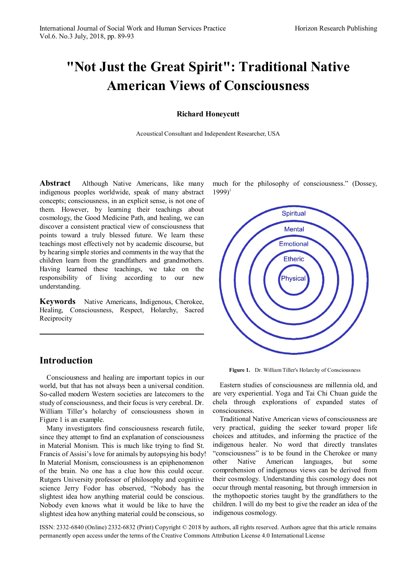# **"Not Just the Great Spirit": Traditional Native American Views of Consciousness**

**Richard Honeycutt**

Acoustical Consultant and Independent Researcher, USA

**Abstract** Although Native Americans, like many indigenous peoples worldwide, speak of many abstract concepts; consciousness, in an explicit sense, is not one of them. However, by learning their teachings about cosmology, the Good Medicine Path, and healing, we can discover a consistent practical view of consciousness that points toward a truly blessed future. We learn these teachings most effectively not by academic discourse, but by hearing simple stories and comments in the way that the children learn from the grandfathers and grandmothers. Having learned these teachings, we take on the responsibility of living according to our new understanding.

**Keywords** Native Americans, Indigenous, Cherokee, Healing, Consciousness, Respect, Holarchy, Sacred Reciprocity

## **Introduction**

Consciousness and healing are important topics in our world, but that has not always been a universal condition. So-called modern Western societies are latecomers to the study of consciousness, and their focus is very cerebral. Dr. William Tiller's holarchy of consciousness shown in Figure 1 is an example.

Many investigators find consciousness research futile, since they attempt to find an explanation of consciousness in Material Monism. This is much like trying to find St. Francis of Assisi's love for animals by autopsying his body! In Material Monism, consciousness is an epiphenomenon of the brain. No one has a clue how this could occur. Rutgers University professor of philosophy and cognitive science Jerry Fodor has observed, "Nobody has the slightest idea how anything material could be conscious. Nobody even knows what it would be like to have the slightest idea how anything material could be conscious, so

much for the philosophy of consciousness." (Dossey,  $1999$ <sup>[i](#page-4-0)</sup>



**Figure 1.** Dr. William Tiller's Holarchy of Consciousness

Eastern studies of consciousness are millennia old, and are very experiential. Yoga and Tai Chi Chuan guide the chela through explorations of expanded states of consciousness.

Traditional Native American views of consciousness are very practical, guiding the seeker toward proper life choices and attitudes, and informing the practice of the indigenous healer. No word that directly translates "consciousness" is to be found in the Cherokee or many other Native American languages, but some comprehension of indigenous views can be derived from their cosmology. Understanding this cosmology does not occur through mental reasoning, but through immersion in the mythopoetic stories taught by the grandfathers to the children. I will do my best to give the reader an idea of the indigenous cosmology.

ISSN: 2332-6840 (Online) 2332-6832 (Print) Copyright © 2018 by authors, all rights reserved. Authors agree that this article remains permanently open access under the terms of the Creative Commons Attribution License 4.0 International License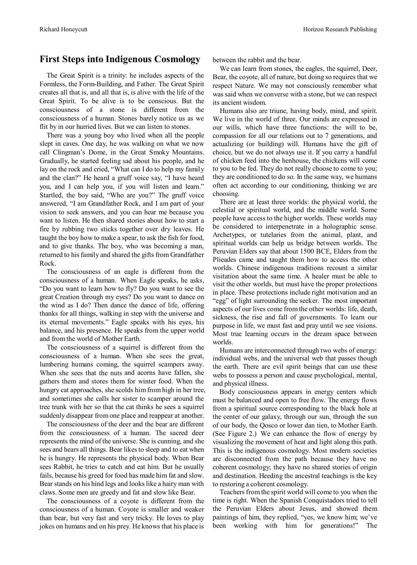### **First Steps into Indigenous Cosmology**

The Great Spirit is a trinity: he includes aspects of the Formless, the Form-Building, and Father. The Great Spirit creates all that is, and all that is, is alive with the life of the Great Spirit. To be alive is to be conscious. But the consciousness of a stone is different from the consciousness of a human. Stones barely notice us as we flit by in our hurried lives. But we can listen to stones.

There was a young boy who lived when all the people slept in caves. One day, he was walking on what we now call Clingman's Dome, in the Great Smoky Mountains. Gradually, he started feeling sad about his people, and he lay on the rock and cried, "What can I do to help my family and the clan?" He heard a gruff voice say, "I have heard you, and I can help you, if you will listen and learn." Startled, the boy said, "Who are you?" The gruff voice answered, "I am Grandfather Rock, and I am part of your vision to seek answers, and you can hear me because you want to listen. He then shared stories about how to start a fire by rubbing two sticks together over dry leaves. He taught the boy how to make a spear, to ask the fish for food, and to give thanks. The boy, who was becoming a man, returned to his family and shared the gifts from Grandfather Rock.

The consciousness of an eagle is different from the consciousness of a human. When Eagle speaks, he asks, "Do you want to learn how to fly? Do you want to see the great Creation through my eyes? Do you want to dance on the wind as I do? Then dance the dance of life, offering thanks for all things, walking in step with the universe and its eternal movements." Eagle speaks with his eyes, his balance, and his presence. He speaks from the upper world and fromthe world of Mother Earth.

The consciousness of a squirrel is different from the consciousness of a human. When she sees the great, lumbering humans coming, the squirrel scampers away. When she sees that the nuts and acorns have fallen, she gathers them and stores them for winter food. When the hungry cat approaches, she scolds him from high in her tree, and sometimes she calls her sister to scamper around the tree trunk with her so that the cat thinks he sees a squirrel suddenly disappear fromone place and reappear at another.

The consciousness of the deer and the bear are different from the consciousness of a human. The sacred deer represents the mind of the universe. She is cunning, and she sees and hears all things. Bear likesto sleep and to eat when he is hungry. He represents the physical body. When Bear sees Rabbit, he tries to catch and eat him. But he usually fails, because his greed for food has made him fat and slow. Bear stands on his hind legs and lookslike a hairy man with claws. Some men are greedy and fat and slow like Bear.

The consciousness of a coyote is different from the consciousness of a human. Coyote is smaller and weaker than bear, but very fast and very tricky. He loves to play jokes on humans and on his prey. He knows that his place is

between the rabbit and the bear.

We can learn from stones, the eagles, the squirrel, Deer, Bear, the coyote, all of nature, but doing so requires that we respect Nature. We may not consciously remember what was said when we converse with a stone, but we can respect its ancient wisdom.

Humans also are triune, having body, mind, and spirit. We live in the world of three. Our minds are expressed in our wills, which have three functions: the will to be, compassion for all our relations out to 7 generations, and actualizing (or building) will. Humans have the gift of choice, but we do not always use it. If you carry a handful of chicken feed into the henhouse, the chickens will come to you to be fed. They do not really choose to come to you; they are conditioned to do so. In the same way, we humans often act according to our conditioning, thinking we are choosing.

There are at least three worlds: the physical world, the celestial or spiritual world, and the middle world. Some people have access to the higher worlds. These worlds may be considered to interpenetrate in a holographic sense. Archetypes, or tutelaries from the animal, plant, and spiritual worlds can help us bridge between worlds. The Peruvian Elders say that about 1500 BCE, Elders from the Plieades came and taught them how to access the other worlds. Chinese indigenous traditions recount a similar visitation about the same time. A healer must be able to visit the other worlds, but must have the proper protections in place. These protections include right motivation and an "egg" of light surrounding the seeker. The most important aspects of our lives come fromthe other worlds: life, death, sickness, the rise and fall of governments. To learn our purpose in life, we must fast and pray until we see visions. Most true learning occurs in the dream space between worlds.

Humans are interconnected through two webs of energy: individual webs, and the universal web that passes though the earth. There are evil spirit beings that can use these webs to possess a person and cause psychological, mental, and physical illness.

Body consciousness appears in energy centers which must be balanced and open to free flow. The energy flows from a spiritual source corresponding to the black hole at the center of our galaxy, through our sun, through the sun of our body, the Qosco or lower dan tien, to Mother Earth. (See Figure 2.) We can enhance the flow of energy by visualizing the movement of heat and light along this path. This is the indigenous cosmology. Most modern societies are disconnected from the path because they have no coherent cosmology; they have no shared stories of origin and destination. Heeding the ancestral teachings is the key to restoring a coherent cosmology.

Teachers from the spirit world will come to you when the time is right. When the Spanish Conquistadors tried to tell the Peruvian Elders about Jesus, and showed them paintings of him, they replied, "yes, we know him; we've been working with him for generations!" The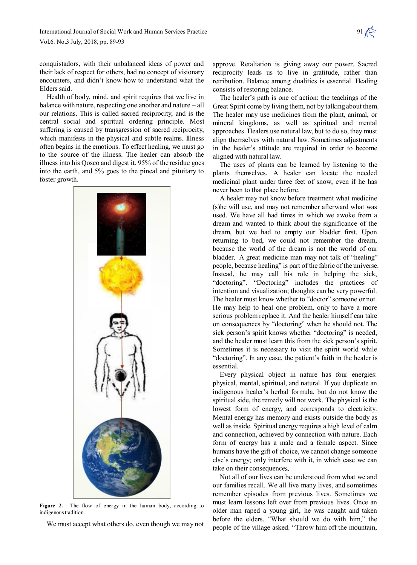conquistadors, with their unbalanced ideas of power and their lack of respect for others, had no concept of visionary encounters, and didn't know how to understand what the Elders said.

Health of body, mind, and spirit requires that we live in balance with nature, respecting one another and nature – all our relations. This is called sacred reciprocity, and is the central social and spiritual ordering principle. Most suffering is caused by transgression of sacred reciprocity, which manifests in the physical and subtle realms. Illness often begins in the emotions. To effect healing, we must go to the source of the illness. The healer can absorb the illness into his Qosco and digest it. 95% of the residue goes into the earth, and 5% goes to the pineal and pituitary to foster growth.



**Figure 2.** The flow of energy in the human body, according to indigenous tradition

We must accept what others do, even though we may not

approve. Retaliation is giving away our power. Sacred reciprocity leads us to live in gratitude, rather than retribution. Balance among dualities is essential. Healing consists of restoring balance.

The healer's path is one of action: the teachings of the Great Spirit come by living them, not by talking about them. The healer may use medicines from the plant, animal, or mineral kingdoms, as well as spiritual and mental approaches. Healers use natural law, but to do so, they must align themselves with natural law. Sometimes adjustments in the healer's attitude are required in order to become aligned with natural law.

The uses of plants can be learned by listening to the plants themselves. A healer can locate the needed medicinal plant under three feet of snow, even if he has never been to that place before.

A healer may not know before treatment what medicine (s)he will use, and may not remember afterward what was used. We have all had times in which we awoke from a dream and wanted to think about the significance of the dream, but we had to empty our bladder first. Upon returning to bed, we could not remember the dream, because the world of the dream is not the world of our bladder. A great medicine man may not talk of "healing" people, because healing" is part of the fabric of the universe. Instead, he may call his role in helping the sick, "doctoring". "Doctoring" includes the practices of intention and visualization; thoughts can be very powerful. The healer must know whether to "doctor" someone or not. He may help to heal one problem, only to have a more serious problem replace it. And the healer himself can take on consequences by "doctoring" when he should not. The sick person's spirit knows whether "doctoring" is needed, and the healer must learn this from the sick person's spirit. Sometimes it is necessary to visit the spirit world while "doctoring". In any case, the patient's faith in the healer is essential.

Every physical object in nature has four energies: physical, mental, spiritual, and natural. If you duplicate an indigenous healer's herbal formula, but do not know the spiritual side, the remedy will not work. The physical is the lowest form of energy, and corresponds to electricity. Mental energy has memory and exists outside the body as well as inside. Spiritual energy requires a high level of calm and connection, achieved by connection with nature. Each form of energy has a male and a female aspect. Since humans have the gift of choice, we cannot change someone else's energy; only interfere with it, in which case we can take on their consequences.

Not all of our lives can be understood from what we and our families recall. We all live many lives, and sometimes remember episodes from previous lives. Sometimes we must learn lessons left over from previous lives. Once an older man raped a young girl, he was caught and taken before the elders. "What should we do with him," the people of the village asked. "Throw him off the mountain,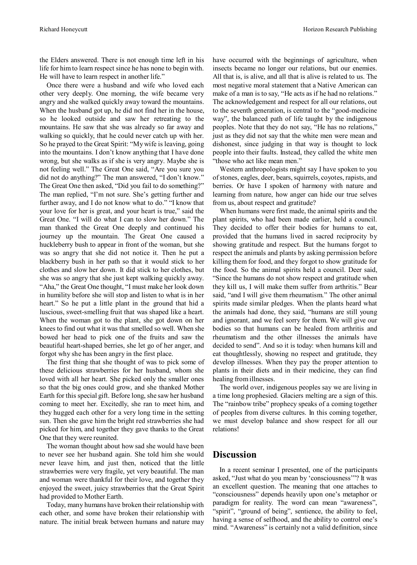the Elders answered. There is not enough time left in his life for himto learn respect since he has none to begin with. He will have to learn respect in another life."

Once there were a husband and wife who loved each other very deeply. One morning, the wife became very angry and she walked quickly away toward the mountains. When the husband got up, he did not find her in the house, so he looked outside and saw her retreating to the mountains. He saw that she was already so far away and walking so quickly, that he could never catch up with her. So he prayed to the Great Spirit: "Mywife is leaving, going into the mountains. I don't know anything that I have done wrong, but she walks as if she is very angry. Maybe she is not feeling well." The Great One said, "Are you sure you did not do anything?" The man answered, "I don't know." The Great One then asked, "Did you fail to do something?" The man replied, "I'm not sure. She's getting further and further away, and I do not know what to do." "I know that your love for her is great, and your heart is true," said the Great One. "I will do what I can to slow her down." The man thanked the Great One deeply and continued his journey up the mountain. The Great One caused a huckleberry bush to appear in front of the woman, but she was so angry that she did not notice it. Then he put a blackberry bush in her path so that it would stick to her clothes and slow her down. It did stick to her clothes, but she was so angry that she just kept walking quickly away. "Aha," the Great One thought, "I must make her look down in humility before she will stop and listen to what is in her heart." So he put a little plant in the ground that hid a luscious, sweet-smelling fruit that was shaped like a heart. When the woman got to the plant, she got down on her knees to find out what it was that smelled so well. When she bowed her head to pick one of the fruits and saw the beautiful heart-shaped berries, she let go of her anger, and forgot why she has been angry in the first place.

The first thing that she thought of was to pick some of these delicious strawberries for her husband, whom she loved with all her heart. She picked only the smaller ones so that the big ones could grow, and she thanked Mother Earth for this special gift. Before long, she saw her husband coming to meet her. Excitedly, she ran to meet him, and they hugged each other for a very long time in the setting sun. Then she gave him the bright red strawberries she had picked for him, and together they gave thanks to the Great One that they were reunited.

The woman thought about how sad she would have been to never see her husband again. She told him she would never leave him, and just then, noticed that the little strawberries were very fragile, yet very beautiful. The man and woman were thankful for their love, and together they enjoyed the sweet, juicy strawberries that the Great Spirit had provided to Mother Earth.

Today, many humans have broken their relationship with each other, and some have broken their relationship with nature. The initial break between humans and nature may have occurred with the beginnings of agriculture, when insects became no longer our relations, but our enemies. All that is, is alive, and all that is alive is related to us. The most negative moral statement that a Native American can make of a man is to say, "He acts as if he had no relations." The acknowledgement and respect for all our relations, out to the seventh generation, is central to the "good-medicine way", the balanced path of life taught by the indigenous peoples. Note that they do not say, "He has no relations," just as they did not say that the white men were mean and dishonest, since judging in that way is thought to lock people into their faults. Instead, they called the white men "those who act like mean men."

Western anthropologists might say I have spoken to you ofstones, eagles, deer, bears,squirrels, coyotes, rapists, and berries. Or have I spoken of harmony with nature and learning from nature, how anger can hide our true selves from us, about respect and gratitude?

When humans were first made, the animal spirits and the plant spirits, who had been made earlier, held a council. They decided to offer their bodies for humans to eat, provided that the humans lived in sacred reciprocity by showing gratitude and respect. But the humans forgot to respect the animals and plants by asking permission before killing them for food, and they forgot to show gratitude for the food. So the animal spirits held a council. Deer said, "Since the humans do not show respect and gratitude when they kill us, I will make them suffer from arthritis." Bear said, "and I will give them rheumatism." The other animal spirits made similar pledges. When the plants heard what the animals had done, they said, "humans are still young and ignorant, and we feel sorry for them. We will give our bodies so that humans can be healed from arthritis and rheumatism and the other illnesses the animals have decided to send". And so it is today: when humans kill and eat thoughtlessly, showing no respect and gratitude, they develop illnesses. When they pay the proper attention to plants in their diets and in their medicine, they can find healing fromillnesses.

The world over, indigenous peoples say we are living in a time long prophesied. Glaciers melting are a sign of this. The "rainbow tribe" prophecy speaks of a coming together of peoples from diverse cultures. In this coming together, we must develop balance and show respect for all our relations!

### **Discussion**

In a recent seminar I presented, one of the participants asked, "Just what do you mean by 'consciousness'"? It was an excellent question. The meaning that one attaches to "consciousness" depends heavily upon one's metaphor or paradigm for reality. The word can mean "awareness", "spirit", "ground of being", sentience, the ability to feel, having a sense of selfhood, and the ability to control one's mind. "Awareness" is certainly not a valid definition, since